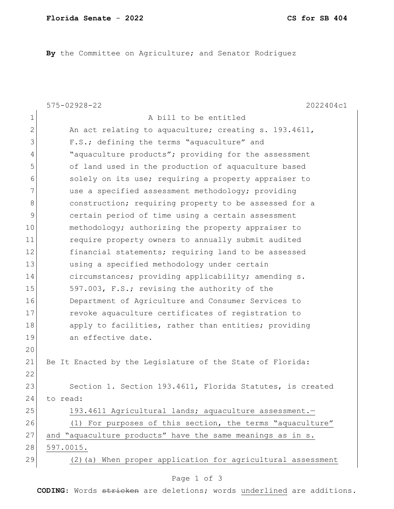**By** the Committee on Agriculture; and Senator Rodriguez

|                | $575 - 02928 - 22$<br>2022404c1                             |
|----------------|-------------------------------------------------------------|
| $\mathbf 1$    | A bill to be entitled                                       |
| $\overline{2}$ | An act relating to aquaculture; creating s. 193.4611,       |
| 3              | F.S.; defining the terms "aquaculture" and                  |
| 4              | "aquaculture products"; providing for the assessment        |
| 5              | of land used in the production of aquaculture based         |
| 6              | solely on its use; requiring a property appraiser to        |
| 7              | use a specified assessment methodology; providing           |
| 8              | construction; requiring property to be assessed for a       |
| 9              | certain period of time using a certain assessment           |
| 10             | methodology; authorizing the property appraiser to          |
| 11             | require property owners to annually submit audited          |
| 12             | financial statements; requiring land to be assessed         |
| 13             | using a specified methodology under certain                 |
| 14             | circumstances; providing applicability; amending s.         |
| 15             | 597.003, F.S.; revising the authority of the                |
| 16             | Department of Agriculture and Consumer Services to          |
| 17             | revoke aquaculture certificates of registration to          |
| 18             | apply to facilities, rather than entities; providing        |
| 19             | an effective date.                                          |
| 20             |                                                             |
| 21             | Be It Enacted by the Legislature of the State of Florida:   |
| 22             |                                                             |
| 23             | Section 1. Section 193.4611, Florida Statutes, is created   |
| 24             | to read:                                                    |
| 25             | 193.4611 Agricultural lands; aquaculture assessment.-       |
| 26             | (1) For purposes of this section, the terms "aquaculture"   |
| 27             | and "aquaculture products" have the same meanings as in s.  |
| 28             | 597.0015.                                                   |
| 29             | (2) (a) When proper application for agricultural assessment |

## Page 1 of 3

**CODING**: Words stricken are deletions; words underlined are additions.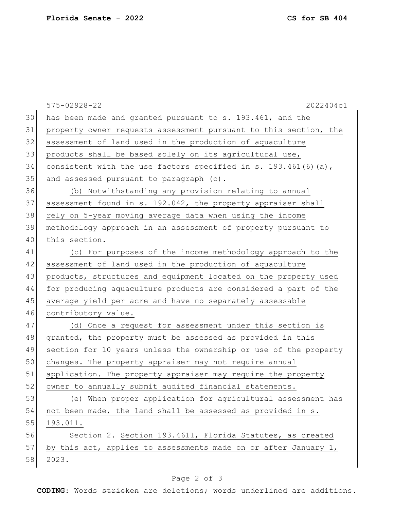|    | $575 - 02928 - 22$<br>2022404c1                                  |
|----|------------------------------------------------------------------|
| 30 | has been made and granted pursuant to s. 193.461, and the        |
| 31 | property owner requests assessment pursuant to this section, the |
| 32 | assessment of land used in the production of aquaculture         |
| 33 | products shall be based solely on its agricultural use,          |
| 34 | consistent with the use factors specified in s. 193.461(6)(a),   |
| 35 | and assessed pursuant to paragraph (c).                          |
| 36 | (b) Notwithstanding any provision relating to annual             |
| 37 | assessment found in s. 192.042, the property appraiser shall     |
| 38 | rely on 5-year moving average data when using the income         |
| 39 | methodology approach in an assessment of property pursuant to    |
| 40 | this section.                                                    |
| 41 | (c) For purposes of the income methodology approach to the       |
| 42 | assessment of land used in the production of aquaculture         |
| 43 | products, structures and equipment located on the property used  |
| 44 | for producing aquaculture products are considered a part of the  |
| 45 | average yield per acre and have no separately assessable         |
| 46 | contributory value.                                              |
| 47 | (d) Once a request for assessment under this section is          |
| 48 | granted, the property must be assessed as provided in this       |
| 49 | section for 10 years unless the ownership or use of the property |
| 50 | changes. The property appraiser may not require annual           |
| 51 | application. The property appraiser may require the property     |
| 52 | owner to annually submit audited financial statements.           |
| 53 | (e) When proper application for agricultural assessment has      |
| 54 | not been made, the land shall be assessed as provided in s.      |
| 55 | 193.011.                                                         |
| 56 | Section 2. Section 193.4611, Florida Statutes, as created        |
| 57 | by this act, applies to assessments made on or after January 1,  |
| 58 | 2023.                                                            |

## Page 2 of 3

**CODING**: Words stricken are deletions; words underlined are additions.